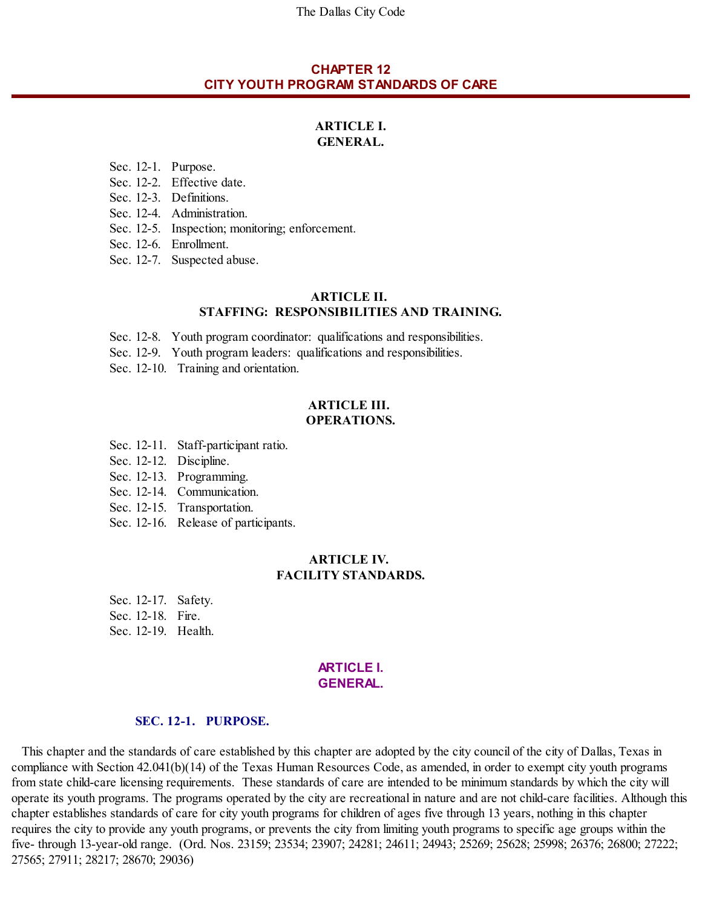The Dallas City Code

## **CHAPTER 12 CITY YOUTH PROGRAM STANDARDS OF CARE**

### **ARTICLE I. GENERAL.**

Sec. 12-1. Purpose.

- Sec. 12-2. Effective date.
- Sec. 12-3. Definitions.
- Sec. 12-4. Administration.
- Sec. 12-5. Inspection; monitoring; enforcement.
- Sec. 12-6. Enrollment.
- Sec. 12-7. Suspected abuse.

### **ARTICLE II. STAFFING: RESPONSIBILITIES AND TRAINING.**

- Sec. 12-8. Youth program coordinator: qualifications and responsibilities.
- Sec. 12-9. Youth program leaders: qualifications and responsibilities.
- Sec. 12-10. Training and orientation.

#### **ARTICLE III. OPERATIONS.**

- Sec. 12-11. Staff-participant ratio.
- Sec. 12-12. Discipline.
- Sec. 12-13. Programming.
- Sec. 12-14. Communication.
- Sec. 12-15. Transportation.
- Sec. 12-16. Release of participants.

#### **ARTICLE IV. FACILITY STANDARDS.**

Sec. 12-17. Safety. Sec. 12-18. Fire. Sec. 12-19. Health.

#### **ARTICLE I. GENERAL.**

#### **SEC. 12-1. PURPOSE.**

This chapter and the standards of care established by this chapter are adopted by the city council of the city of Dallas, Texas in compliance with Section 42.041(b)(14) of the Texas Human Resources Code, as amended, in order to exempt city youth programs from state child-care licensing requirements. These standards of care are intended to be minimum standards by which the city will operate its youth programs. The programs operated by the city are recreational in nature and are not child-care facilities. Although this chapter establishes standards of care for city youth programs for children of ages five through 13 years, nothing in this chapter requires the city to provide any youth programs, or prevents the city from limiting youth programs to specific age groups within the five- through 13-year-old range. (Ord. Nos. 23159; 23534; 23907; 24281; 24611; 24943; 25269; 25628; 25998; 26376; 26800; 27222; 27565; 27911; 28217; 28670; 29036)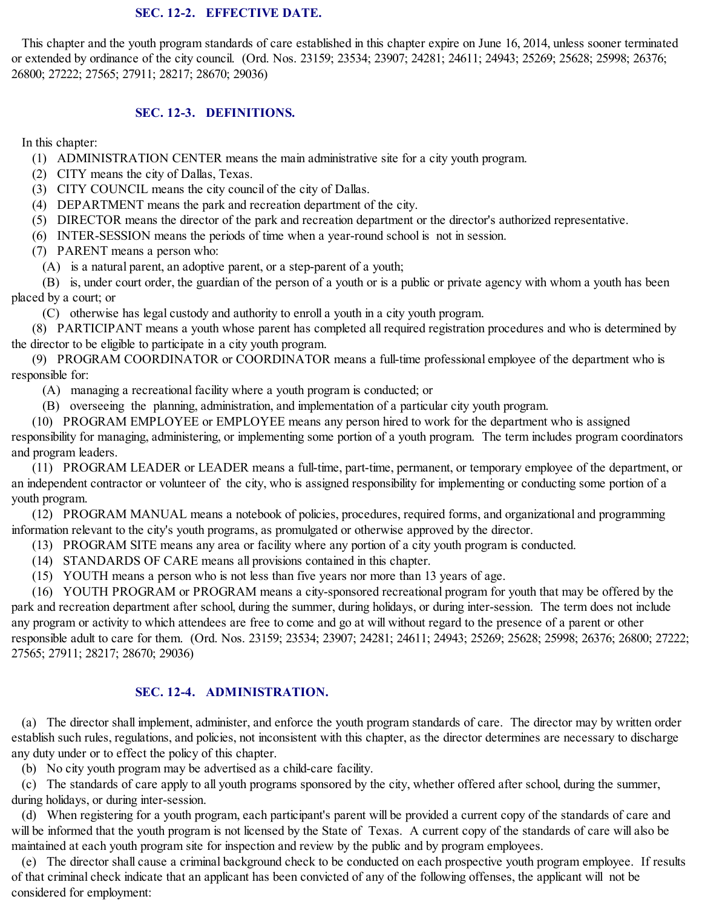### **SEC. 12-2. EFFECTIVE DATE.**

This chapter and the youth program standards of care established in this chapter expire on June 16, 2014, unless sooner terminated or extended by ordinance of the city council. (Ord. Nos. 23159; 23534; 23907; 24281; 24611; 24943; 25269; 25628; 25998; 26376; 26800; 27222; 27565; 27911; 28217; 28670; 29036)

### **SEC. 12-3. DEFINITIONS.**

In this chapter:

- (1) ADMINISTRATION CENTER means the main administrative site for a city youth program.
- (2) CITY means the city of Dallas, Texas.
- (3) CITY COUNCIL means the city council of the city of Dallas.
- (4) DEPARTMENT means the park and recreation department of the city.
- (5) DIRECTOR means the director of the park and recreation department or the director's authorized representative.
- (6) INTER-SESSION means the periods of time when a year-round school is not in session.
- (7) PARENT means a person who:
	- (A) is a natural parent, an adoptive parent, or a step-parent of a youth;

(B) is, under court order, the guardian of the person of a youth or is a public or private agency with whom a youth has been placed by a court; or

(C) otherwise has legal custody and authority to enroll a youth in a city youth program.

(8) PARTICIPANT means a youth whose parent has completed all required registration procedures and who is determined by the director to be eligible to participate in a city youth program.

(9) PROGRAM COORDINATOR or COORDINATOR means a full-time professional employee of the department who is responsible for:

- (A) managing a recreational facility where a youth program is conducted; or
- (B) overseeing the planning, administration, and implementation of a particular city youth program.
- (10) PROGRAM EMPLOYEE or EMPLOYEE means any person hired to work for the department who is assigned

responsibility for managing, administering, or implementing some portion of a youth program. The term includes program coordinators and program leaders.

(11) PROGRAM LEADER or LEADER means a full-time, part-time, permanent, or temporary employee of the department, or an independent contractor or volunteer of the city, who is assigned responsibility for implementing or conducting some portion of a youth program.

(12) PROGRAM MANUAL means a notebook of policies, procedures, required forms, and organizational and programming information relevant to the city's youth programs, as promulgated or otherwise approved by the director.

- (13) PROGRAM SITE means any area or facility where any portion of a city youth program is conducted.
- (14) STANDARDS OF CARE means all provisions contained in this chapter.
- (15) YOUTH means a person who is not less than five years nor more than 13 years of age.

(16) YOUTH PROGRAM or PROGRAM means a city-sponsored recreational program for youth that may be offered by the park and recreation department after school, during the summer, during holidays, or during inter-session. The term does not include any program or activity to which attendees are free to come and go at will without regard to the presence of a parent or other responsible adult to care for them. (Ord. Nos. 23159; 23534; 23907; 24281; 24611; 24943; 25269; 25628; 25998; 26376; 26800; 27222; 27565; 27911; 28217; 28670; 29036)

## **SEC. 12-4. ADMINISTRATION.**

(a) The director shall implement, administer, and enforce the youth program standards of care. The director may by written order establish such rules, regulations, and policies, not inconsistent with this chapter, as the director determines are necessary to discharge any duty under or to effect the policy of this chapter.

(b) No city youth program may be advertised as a child-care facility.

(c) The standards of care apply to all youth programs sponsored by the city, whether offered after school, during the summer, during holidays, or during inter-session.

(d) When registering for a youth program, each participant's parent will be provided a current copy of the standards of care and will be informed that the youth program is not licensed by the State of Texas. A current copy of the standards of care will also be maintained at each youth program site for inspection and review by the public and by program employees.

(e) The director shall cause a criminal background check to be conducted on each prospective youth program employee. If results of that criminal check indicate that an applicant has been convicted of any of the following offenses, the applicant will not be considered for employment: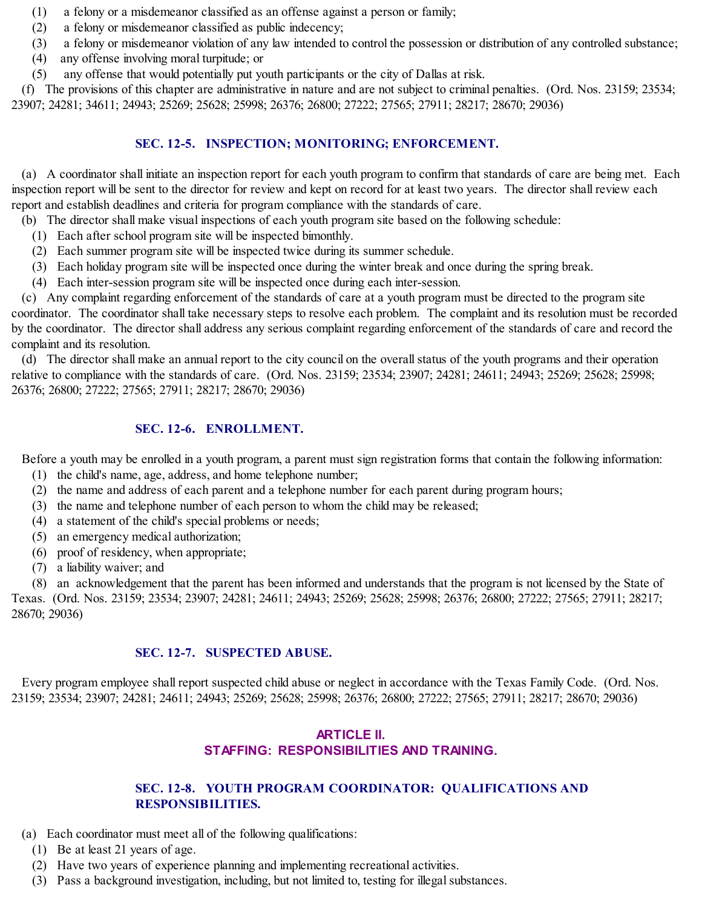- (1) a felony or a misdemeanor classified as an offense against a person or family;
- (2) a felony or misdemeanor classified as public indecency;
- (3) a felony or misdemeanor violation of any law intended to control the possession or distribution of any controlled substance;
- (4) any offense involving moral turpitude; or
- (5) any offense that would potentially put youth participants or the city of Dallas at risk.

(f) The provisions of this chapter are administrative in nature and are not subject to criminal penalties. (Ord. Nos. 23159; 23534; 23907; 24281; 34611; 24943; 25269; 25628; 25998; 26376; 26800; 27222; 27565; 27911; 28217; 28670; 29036)

## **SEC. 12-5. INSPECTION; MONITORING; ENFORCEMENT.**

(a) A coordinator shall initiate an inspection report for each youth program to confirm that standards of care are being met. Each inspection report will be sent to the director for review and kept on record for at least two years. The director shall review each report and establish deadlines and criteria for program compliance with the standards of care.

- (b) The director shall make visual inspections of each youth program site based on the following schedule:
	- (1) Each after school program site will be inspected bimonthly.
	- (2) Each summer program site will be inspected twice during its summer schedule.
	- (3) Each holiday program site will be inspected once during the winter break and once during the spring break.
	- (4) Each inter-session program site will be inspected once during each inter-session.

(c) Any complaint regarding enforcement of the standards of care at a youth program must be directed to the program site coordinator. The coordinator shall take necessary steps to resolve each problem. The complaint and its resolution must be recorded by the coordinator. The director shall address any serious complaint regarding enforcement of the standards of care and record the complaint and its resolution.

(d) The director shall make an annual report to the city council on the overallstatus of the youth programs and their operation relative to compliance with the standards of care. (Ord. Nos. 23159; 23534; 23907; 24281; 24611; 24943; 25269; 25628; 25998; 26376; 26800; 27222; 27565; 27911; 28217; 28670; 29036)

# **SEC. 12-6. ENROLLMENT.**

Before a youth may be enrolled in a youth program, a parent must sign registration forms that contain the following information:

- (1) the child's name, age, address, and home telephone number;
- (2) the name and address of each parent and a telephone number for each parent during program hours;
- (3) the name and telephone number of each person to whom the child may be released;
- (4) a statement of the child's special problems or needs;
- (5) an emergency medical authorization;
- (6) proof of residency, when appropriate;
- (7) a liability waiver; and

(8) an acknowledgement that the parent has been informed and understands that the program is not licensed by the State of Texas. (Ord. Nos. 23159; 23534; 23907; 24281; 24611; 24943; 25269; 25628; 25998; 26376; 26800; 27222; 27565; 27911; 28217; 28670; 29036)

# **SEC. 12-7. SUSPECTED ABUSE.**

Every program employee shall report suspected child abuse or neglect in accordance with the Texas Family Code. (Ord. Nos. 23159; 23534; 23907; 24281; 24611; 24943; 25269; 25628; 25998; 26376; 26800; 27222; 27565; 27911; 28217; 28670; 29036)

# **ARTICLE II. STAFFING: RESPONSIBILITIES AND TRAINING.**

# **SEC. 12-8. YOUTH PROGRAM COORDINATOR: QUALIFICATIONS AND RESPONSIBILITIES.**

- (a) Each coordinator must meet all of the following qualifications:
	- (1) Be at least 21 years of age.
	- (2) Have two years of experience planning and implementing recreational activities.
	- (3) Pass a background investigation, including, but not limited to, testing for illegal substances.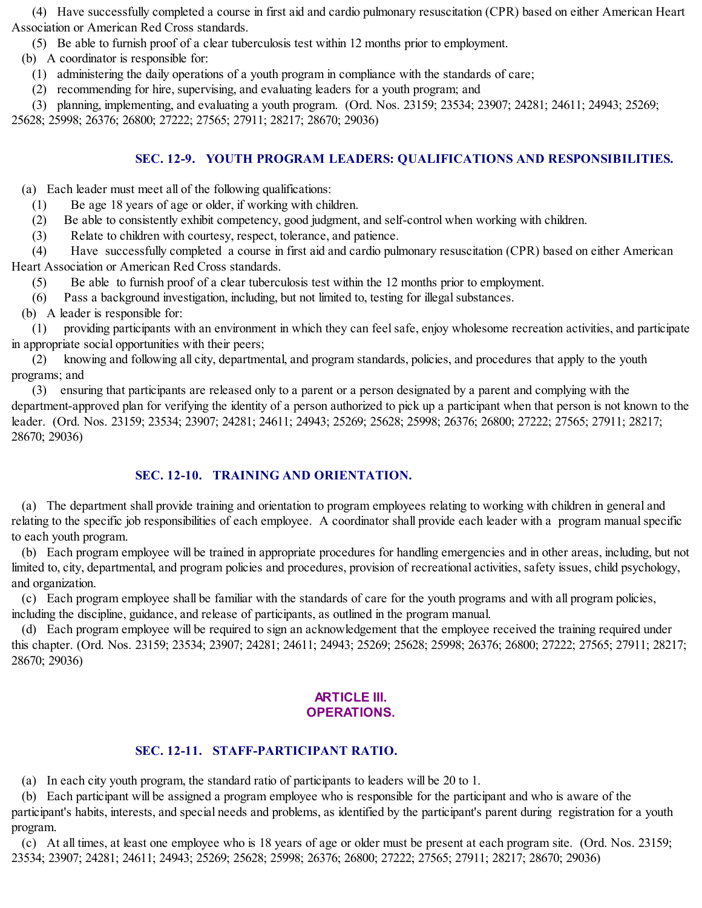(4) Have successfully completed a course in first aid and cardio pulmonary resuscitation (CPR) based on either American Heart Association or American Red Cross standards.

(5) Be able to furnish proof of a clear tuberculosis test within 12 months prior to employment.

(b) A coordinator is responsible for:

(1) administering the daily operations of a youth program in compliance with the standards of care;

(2) recommending for hire, supervising, and evaluating leaders for a youth program; and

(3) planning, implementing, and evaluating a youth program. (Ord. Nos. 23159; 23534; 23907; 24281; 24611; 24943; 25269;

25628; 25998; 26376; 26800; 27222; 27565; 27911; 28217; 28670; 29036)

## **SEC. 12-9. YOUTH PROGRAM LEADERS: QUALIFICATIONS AND RESPONSIBILITIES.**

(a) Each leader must meet all of the following qualifications:

- (1) Be age 18 years of age or older, if working with children.
- (2) Be able to consistently exhibit competency, good judgment, and self-control when working with children.
- (3) Relate to children with courtesy, respect, tolerance, and patience.

(4) Have successfully completed a course in first aid and cardio pulmonary resuscitation (CPR) based on either American Heart Association or American Red Cross standards.

- (5) Be able to furnish proof of a clear tuberculosis test within the 12 months prior to employment.
- (6) Pass a background investigation, including, but not limited to, testing for illegalsubstances.
- (b) A leader is responsible for:

(1) providing participants with an environment in which they can feelsafe, enjoy wholesome recreation activities, and participate in appropriate social opportunities with their peers;

(2) knowing and following all city, departmental, and program standards, policies, and procedures that apply to the youth programs; and

(3) ensuring that participants are released only to a parent or a person designated by a parent and complying with the department-approved plan for verifying the identity of a person authorized to pick up a participant when that person is not known to the leader. (Ord. Nos. 23159; 23534; 23907; 24281; 24611; 24943; 25269; 25628; 25998; 26376; 26800; 27222; 27565; 27911; 28217; 28670; 29036)

# **SEC. 12-10. TRAINING AND ORIENTATION.**

(a) The department shall provide training and orientation to program employees relating to working with children in general and relating to the specific job responsibilities of each employee. A coordinator shall provide each leader with a program manualspecific to each youth program.

(b) Each program employee will be trained in appropriate procedures for handling emergencies and in other areas, including, but not limited to, city, departmental, and program policies and procedures, provision of recreational activities, safety issues, child psychology, and organization.

(c) Each program employee shall be familiar with the standards of care for the youth programs and with all program policies, including the discipline, guidance, and release of participants, as outlined in the program manual.

(d) Each program employee will be required to sign an acknowledgement that the employee received the training required under this chapter. (Ord. Nos. 23159; 23534; 23907; 24281; 24611; 24943; 25269; 25628; 25998; 26376; 26800; 27222; 27565; 27911; 28217; 28670; 29036)

# **ARTICLE III. OPERATIONS.**

# **SEC. 12-11. STAFF-PARTICIPANT RATIO.**

(a) In each city youth program, the standard ratio of participants to leaders will be 20 to 1.

(b) Each participant will be assigned a program employee who is responsible for the participant and who is aware of the participant's habits, interests, and special needs and problems, as identified by the participant's parent during registration for a youth program.

(c) At all times, at least one employee who is 18 years of age or older must be present at each program site. (Ord. Nos. 23159; 23534; 23907; 24281; 24611; 24943; 25269; 25628; 25998; 26376; 26800; 27222; 27565; 27911; 28217; 28670; 29036)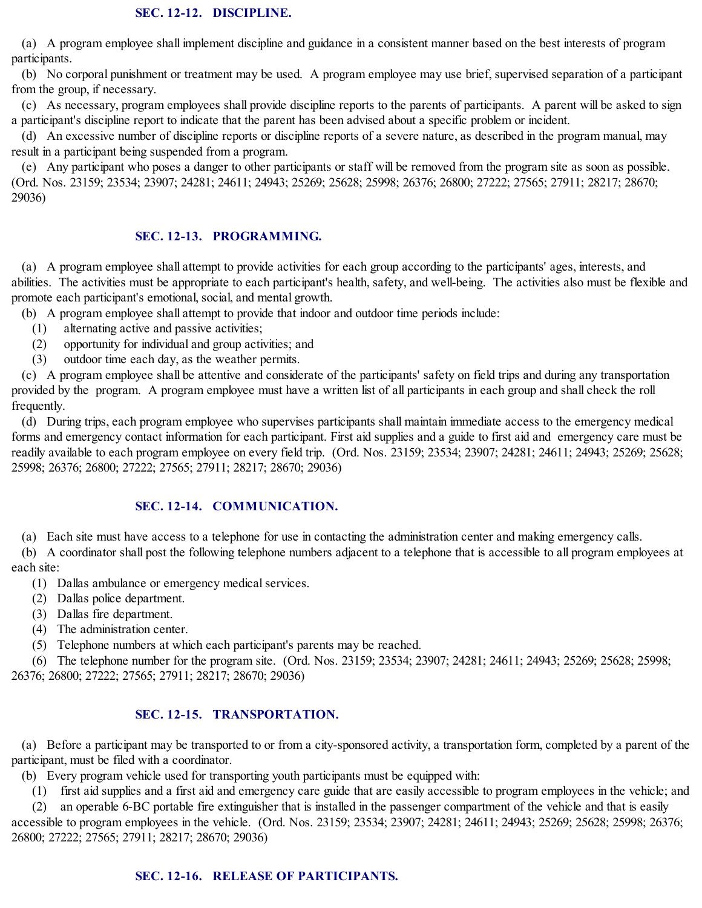(a) A program employee shall implement discipline and guidance in a consistent manner based on the best interests of program participants.

(b) No corporal punishment or treatment may be used. A program employee may use brief, supervised separation of a participant from the group, if necessary.

(c) As necessary, program employees shall provide discipline reports to the parents of participants. A parent will be asked to sign a participant's discipline report to indicate that the parent has been advised about a specific problem or incident.

(d) An excessive number of discipline reports or discipline reports of a severe nature, as described in the program manual, may result in a participant being suspended from a program.

(e) Any participant who poses a danger to other participants or staff will be removed from the program site as soon as possible. (Ord. Nos. 23159; 23534; 23907; 24281; 24611; 24943; 25269; 25628; 25998; 26376; 26800; 27222; 27565; 27911; 28217; 28670; 29036)

# **SEC. 12-13. PROGRAMMING.**

(a) A program employee shall attempt to provide activities for each group according to the participants' ages, interests, and abilities. The activities must be appropriate to each participant's health, safety, and well-being. The activities also must be flexible and promote each participant's emotional, social, and mental growth.

(b) A program employee shall attempt to provide that indoor and outdoor time periods include:

- (1) alternating active and passive activities;
- (2) opportunity for individual and group activities; and
- (3) outdoor time each day, as the weather permits.

(c) A program employee shall be attentive and considerate of the participants' safety on field trips and during any transportation provided by the program. A program employee must have a written list of all participants in each group and shall check the roll frequently.

(d) During trips, each program employee who supervises participants shall maintain immediate access to the emergency medical forms and emergency contact information for each participant. First aid supplies and a guide to first aid and emergency care must be readily available to each program employee on every field trip. (Ord. Nos. 23159; 23534; 23907; 24281; 24611; 24943; 25269; 25628; 25998; 26376; 26800; 27222; 27565; 27911; 28217; 28670; 29036)

## **SEC. 12-14. COMMUNICATION.**

(a) Each site must have access to a telephone for use in contacting the administration center and making emergency calls.

(b) A coordinator shall post the following telephone numbers adjacent to a telephone that is accessible to all program employees at each site:

- (1) Dallas ambulance or emergency medicalservices.
- (2) Dallas police department.
- (3) Dallas fire department.
- (4) The administration center.
- (5) Telephone numbers at which each participant's parents may be reached.

(6) The telephone number for the program site. (Ord. Nos. 23159; 23534; 23907; 24281; 24611; 24943; 25269; 25628; 25998; 26376; 26800; 27222; 27565; 27911; 28217; 28670; 29036)

# **SEC. 12-15. TRANSPORTATION.**

(a) Before a participant may be transported to or from a city-sponsored activity, a transportation form, completed by a parent of the participant, must be filed with a coordinator.

(b) Every program vehicle used for transporting youth participants must be equipped with:

(1) first aid supplies and a first aid and emergency care guide that are easily accessible to program employees in the vehicle; and

(2) an operable 6-BC portable fire extinguisher that is installed in the passenger compartment of the vehicle and that is easily accessible to program employees in the vehicle. (Ord. Nos. 23159; 23534; 23907; 24281; 24611; 24943; 25269; 25628; 25998; 26376; 26800; 27222; 27565; 27911; 28217; 28670; 29036)

# **SEC. 12-16. RELEASE OF PARTICIPANTS.**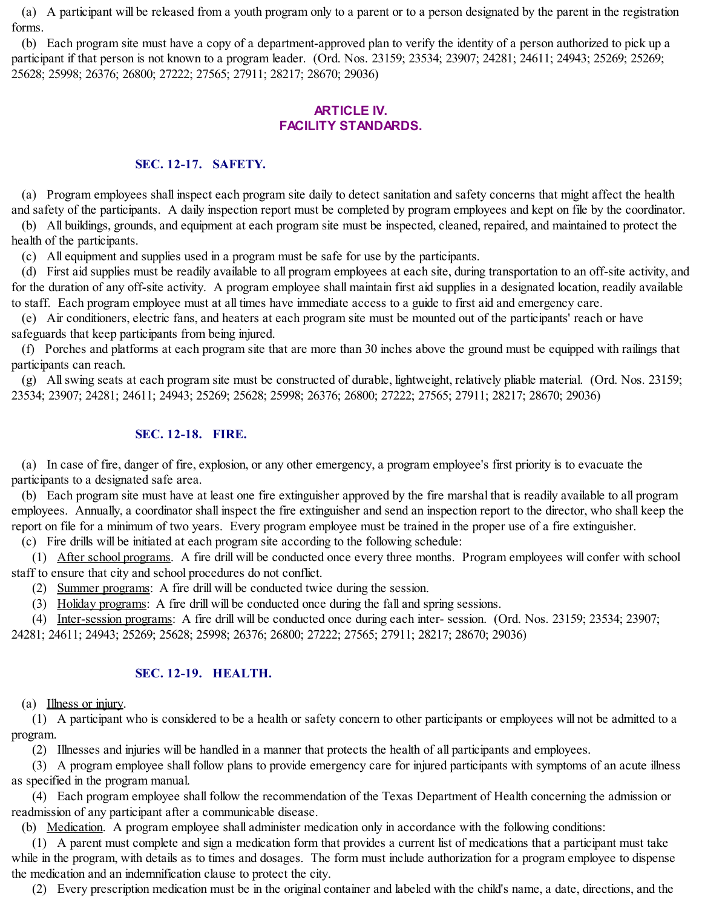(a) A participant will be released from a youth program only to a parent or to a person designated by the parent in the registration forms.

(b) Each program site must have a copy of a department-approved plan to verify the identity of a person authorized to pick up a participant if that person is not known to a program leader. (Ord. Nos. 23159; 23534; 23907; 24281; 24611; 24943; 25269; 25269; 25628; 25998; 26376; 26800; 27222; 27565; 27911; 28217; 28670; 29036)

## **ARTICLE IV. FACILITY STANDARDS.**

### **SEC. 12-17. SAFETY.**

(a) Program employees shall inspect each program site daily to detect sanitation and safety concerns that might affect the health and safety of the participants. A daily inspection report must be completed by program employees and kept on file by the coordinator.

(b) All buildings, grounds, and equipment at each program site must be inspected, cleaned, repaired, and maintained to protect the health of the participants.

(c) All equipment and supplies used in a program must be safe for use by the participants.

(d) First aid supplies must be readily available to all program employees at each site, during transportation to an off-site activity, and for the duration of any off-site activity. A program employee shall maintain first aid supplies in a designated location, readily available to staff. Each program employee must at all times have immediate access to a guide to first aid and emergency care.

(e) Air conditioners, electric fans, and heaters at each program site must be mounted out of the participants' reach or have safeguards that keep participants from being injured.

(f) Porches and platforms at each program site that are more than 30 inches above the ground must be equipped with railings that participants can reach.

(g) Allswing seats at each program site must be constructed of durable, lightweight, relatively pliable material. (Ord. Nos. 23159; 23534; 23907; 24281; 24611; 24943; 25269; 25628; 25998; 26376; 26800; 27222; 27565; 27911; 28217; 28670; 29036)

### **SEC. 12-18. FIRE.**

(a) In case of fire, danger of fire, explosion, or any other emergency, a program employee's first priority is to evacuate the participants to a designated safe area.

(b) Each program site must have at least one fire extinguisher approved by the fire marshal that is readily available to all program employees. Annually, a coordinator shall inspect the fire extinguisher and send an inspection report to the director, who shall keep the report on file for a minimum of two years. Every program employee must be trained in the proper use of a fire extinguisher.

(c) Fire drills will be initiated at each program site according to the following schedule:

(1) After school programs. A fire drill will be conducted once every three months. Program employees will confer with school staff to ensure that city and school procedures do not conflict.

(2) Summer programs: A fire drill will be conducted twice during the session.

(3) Holiday programs: A fire drill will be conducted once during the fall and spring sessions.

(4) Inter-session programs: A fire drill will be conducted once during each inter- session. (Ord. Nos. 23159; 23534; 23907;

24281; 24611; 24943; 25269; 25628; 25998; 26376; 26800; 27222; 27565; 27911; 28217; 28670; 29036)

#### **SEC. 12-19. HEALTH.**

#### (a) Illness or injury.

(1) A participant who is considered to be a health or safety concern to other participants or employees will not be admitted to a program.

(2) Illnesses and injuries will be handled in a manner that protects the health of all participants and employees.

(3) A program employee shall follow plans to provide emergency care for injured participants with symptoms of an acute illness as specified in the program manual.

(4) Each program employee shall follow the recommendation of the Texas Department of Health concerning the admission or readmission of any participant after a communicable disease.

(b) Medication. A program employee shall administer medication only in accordance with the following conditions:

(1) A parent must complete and sign a medication form that provides a current list of medications that a participant must take while in the program, with details as to times and dosages. The form must include authorization for a program employee to dispense the medication and an indemnification clause to protect the city.

(2) Every prescription medication must be in the original container and labeled with the child's name, a date, directions, and the